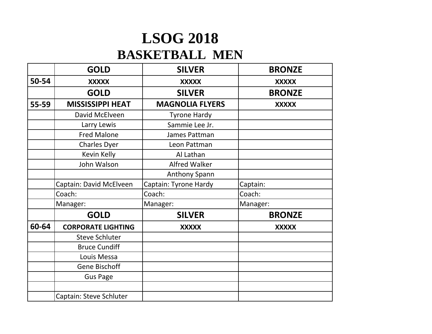## **LSOG 2018 BASKETBALL MEN**

|       | <b>GOLD</b>               | <b>SILVER</b>          | <b>BRONZE</b> |
|-------|---------------------------|------------------------|---------------|
| 50-54 | <b>XXXXX</b>              | <b>XXXXX</b>           | <b>XXXXX</b>  |
|       | <b>GOLD</b>               | <b>SILVER</b>          | <b>BRONZE</b> |
| 55-59 | <b>MISSISSIPPI HEAT</b>   | <b>MAGNOLIA FLYERS</b> | <b>XXXXX</b>  |
|       | David McElveen            | <b>Tyrone Hardy</b>    |               |
|       | Larry Lewis               | Sammie Lee Jr.         |               |
|       | <b>Fred Malone</b>        | James Pattman          |               |
|       | <b>Charles Dyer</b>       | Leon Pattman           |               |
|       | Kevin Kelly               | Al Lathan              |               |
|       | John Walson               | <b>Alfred Walker</b>   |               |
|       |                           | <b>Anthony Spann</b>   |               |
|       | Captain: David McElveen   | Captain: Tyrone Hardy  | Captain:      |
|       | Coach:                    | Coach:                 | Coach:        |
|       | Manager:                  | Manager:               | Manager:      |
|       | <b>GOLD</b>               | <b>SILVER</b>          | <b>BRONZE</b> |
| 60-64 | <b>CORPORATE LIGHTING</b> | <b>XXXXX</b>           | <b>XXXXX</b>  |
|       | <b>Steve Schluter</b>     |                        |               |
|       | <b>Bruce Cundiff</b>      |                        |               |
|       | Louis Messa               |                        |               |
|       | <b>Gene Bischoff</b>      |                        |               |
|       | <b>Gus Page</b>           |                        |               |
|       |                           |                        |               |
|       | Captain: Steve Schluter   |                        |               |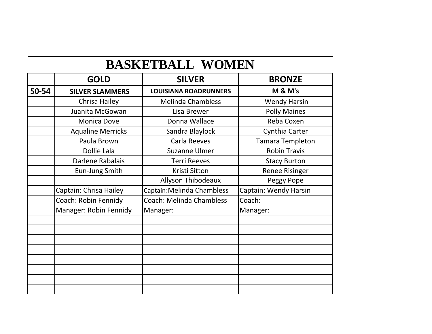## **BASKETBALL WOMEN**

|       | <b>GOLD</b>              | <b>SILVER</b>                   | <b>BRONZE</b>         |
|-------|--------------------------|---------------------------------|-----------------------|
| 50-54 | <b>SILVER SLAMMERS</b>   | <b>LOUISIANA ROADRUNNERS</b>    | <b>M &amp; M's</b>    |
|       | Chrisa Hailey            | <b>Melinda Chambless</b>        | <b>Wendy Harsin</b>   |
|       | Juanita McGowan          | Lisa Brewer                     | <b>Polly Maines</b>   |
|       | <b>Monica Dove</b>       | Donna Wallace                   | Reba Coxen            |
|       | <b>Aqualine Merricks</b> | Sandra Blaylock                 | Cynthia Carter        |
|       | Paula Brown              | Carla Reeves                    | Tamara Templeton      |
|       | Dollie Lala              | <b>Suzanne Ulmer</b>            | <b>Robin Travis</b>   |
|       | Darlene Rabalais         | <b>Terri Reeves</b>             | <b>Stacy Burton</b>   |
|       | Eun-Jung Smith           | Kristi Sitton                   | <b>Renee Risinger</b> |
|       |                          | Allyson Thibodeaux              | Peggy Pope            |
|       | Captain: Chrisa Hailey   | Captain: Melinda Chambless      | Captain: Wendy Harsin |
|       | Coach: Robin Fennidy     | <b>Coach: Melinda Chambless</b> | Coach:                |
|       | Manager: Robin Fennidy   | Manager:                        | Manager:              |
|       |                          |                                 |                       |
|       |                          |                                 |                       |
|       |                          |                                 |                       |
|       |                          |                                 |                       |
|       |                          |                                 |                       |
|       |                          |                                 |                       |
|       |                          |                                 |                       |
|       |                          |                                 |                       |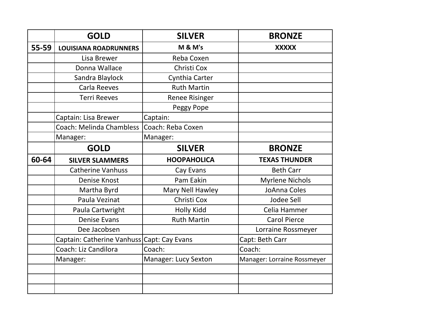|           | <b>GOLD</b>                                | <b>SILVER</b>         | <b>BRONZE</b>               |
|-----------|--------------------------------------------|-----------------------|-----------------------------|
| $55 - 59$ | <b>LOUISIANA ROADRUNNERS</b>               | <b>M &amp; M's</b>    | <b>XXXXX</b>                |
|           | Lisa Brewer                                | Reba Coxen            |                             |
|           | Donna Wallace                              | Christi Cox           |                             |
|           | Sandra Blaylock                            | Cynthia Carter        |                             |
|           | Carla Reeves                               | <b>Ruth Martin</b>    |                             |
|           | <b>Terri Reeves</b>                        | <b>Renee Risinger</b> |                             |
|           |                                            | Peggy Pope            |                             |
|           | Captain: Lisa Brewer                       | Captain:              |                             |
|           | <b>Coach: Melinda Chambless</b>            | Coach: Reba Coxen     |                             |
|           | Manager:                                   | Manager:              |                             |
|           | <b>GOLD</b>                                | <b>SILVER</b>         | <b>BRONZE</b>               |
| 60-64     | <b>SILVER SLAMMERS</b>                     | <b>HOOPAHOLICA</b>    | <b>TEXAS THUNDER</b>        |
|           | <b>Catherine Vanhuss</b>                   | Cay Evans             | <b>Beth Carr</b>            |
|           | <b>Denise Knost</b>                        | Pam Eakin             | <b>Myrlene Nichols</b>      |
|           | Martha Byrd                                | Mary Nell Hawley      | JoAnna Coles                |
|           | Paula Vezinat                              | Christi Cox           | Jodee Sell                  |
|           | Paula Cartwright                           | <b>Holly Kidd</b>     | Celia Hammer                |
|           | <b>Denise Evans</b>                        | <b>Ruth Martin</b>    | <b>Carol Pierce</b>         |
|           | Dee Jacobsen                               |                       | Lorraine Rossmeyer          |
|           | Captain: Catherine Vanhuss Capt: Cay Evans |                       | Capt: Beth Carr             |
|           | Coach: Liz Candilora                       | Coach:                | Coach:                      |
|           | Manager:                                   | Manager: Lucy Sexton  | Manager: Lorraine Rossmeyer |
|           |                                            |                       |                             |
|           |                                            |                       |                             |
|           |                                            |                       |                             |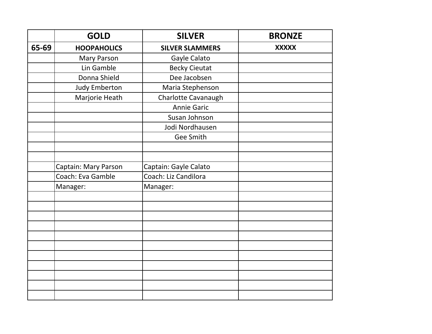|       | <b>GOLD</b>                 | <b>SILVER</b>          | <b>BRONZE</b> |
|-------|-----------------------------|------------------------|---------------|
| 65-69 | <b>HOOPAHOLICS</b>          | <b>SILVER SLAMMERS</b> | <b>XXXXX</b>  |
|       | Mary Parson                 | Gayle Calato           |               |
|       | Lin Gamble                  | <b>Becky Cieutat</b>   |               |
|       | Donna Shield                | Dee Jacobsen           |               |
|       | <b>Judy Emberton</b>        | Maria Stephenson       |               |
|       | Marjorie Heath              | Charlotte Cavanaugh    |               |
|       |                             | <b>Annie Garic</b>     |               |
|       |                             | Susan Johnson          |               |
|       |                             | Jodi Nordhausen        |               |
|       |                             | <b>Gee Smith</b>       |               |
|       |                             |                        |               |
|       |                             |                        |               |
|       | <b>Captain: Mary Parson</b> | Captain: Gayle Calato  |               |
|       | Coach: Eva Gamble           | Coach: Liz Candilora   |               |
|       | Manager:                    | Manager:               |               |
|       |                             |                        |               |
|       |                             |                        |               |
|       |                             |                        |               |
|       |                             |                        |               |
|       |                             |                        |               |
|       |                             |                        |               |
|       |                             |                        |               |
|       |                             |                        |               |
|       |                             |                        |               |
|       |                             |                        |               |
|       |                             |                        |               |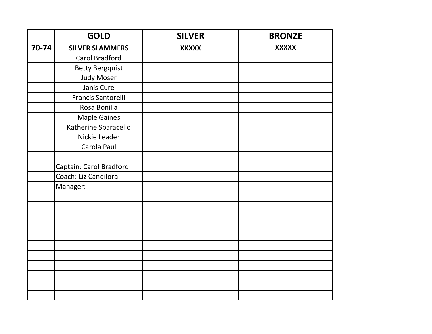|       | <b>GOLD</b>             | <b>SILVER</b> | <b>BRONZE</b> |
|-------|-------------------------|---------------|---------------|
| 70-74 | <b>SILVER SLAMMERS</b>  | <b>XXXXX</b>  | <b>XXXXX</b>  |
|       | <b>Carol Bradford</b>   |               |               |
|       | <b>Betty Bergquist</b>  |               |               |
|       | <b>Judy Moser</b>       |               |               |
|       | Janis Cure              |               |               |
|       | Francis Santorelli      |               |               |
|       | Rosa Bonilla            |               |               |
|       | <b>Maple Gaines</b>     |               |               |
|       | Katherine Sparacello    |               |               |
|       | Nickie Leader           |               |               |
|       | Carola Paul             |               |               |
|       |                         |               |               |
|       | Captain: Carol Bradford |               |               |
|       | Coach: Liz Candilora    |               |               |
|       | Manager:                |               |               |
|       |                         |               |               |
|       |                         |               |               |
|       |                         |               |               |
|       |                         |               |               |
|       |                         |               |               |
|       |                         |               |               |
|       |                         |               |               |
|       |                         |               |               |
|       |                         |               |               |
|       |                         |               |               |
|       |                         |               |               |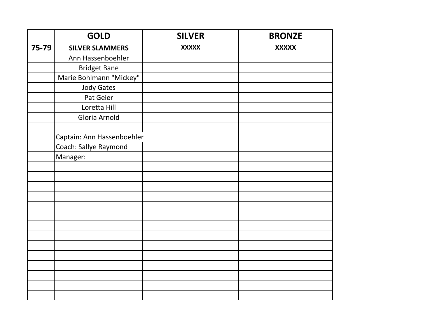|       | <b>GOLD</b>                | <b>SILVER</b> | <b>BRONZE</b> |
|-------|----------------------------|---------------|---------------|
| 75-79 | <b>SILVER SLAMMERS</b>     | <b>XXXXX</b>  | <b>XXXXX</b>  |
|       | Ann Hassenboehler          |               |               |
|       | <b>Bridget Bane</b>        |               |               |
|       | Marie Bohlmann "Mickey"    |               |               |
|       | <b>Jody Gates</b>          |               |               |
|       | Pat Geier                  |               |               |
|       | Loretta Hill               |               |               |
|       | Gloria Arnold              |               |               |
|       |                            |               |               |
|       | Captain: Ann Hassenboehler |               |               |
|       | Coach: Sallye Raymond      |               |               |
|       | Manager:                   |               |               |
|       |                            |               |               |
|       |                            |               |               |
|       |                            |               |               |
|       |                            |               |               |
|       |                            |               |               |
|       |                            |               |               |
|       |                            |               |               |
|       |                            |               |               |
|       |                            |               |               |
|       |                            |               |               |
|       |                            |               |               |
|       |                            |               |               |
|       |                            |               |               |
|       |                            |               |               |